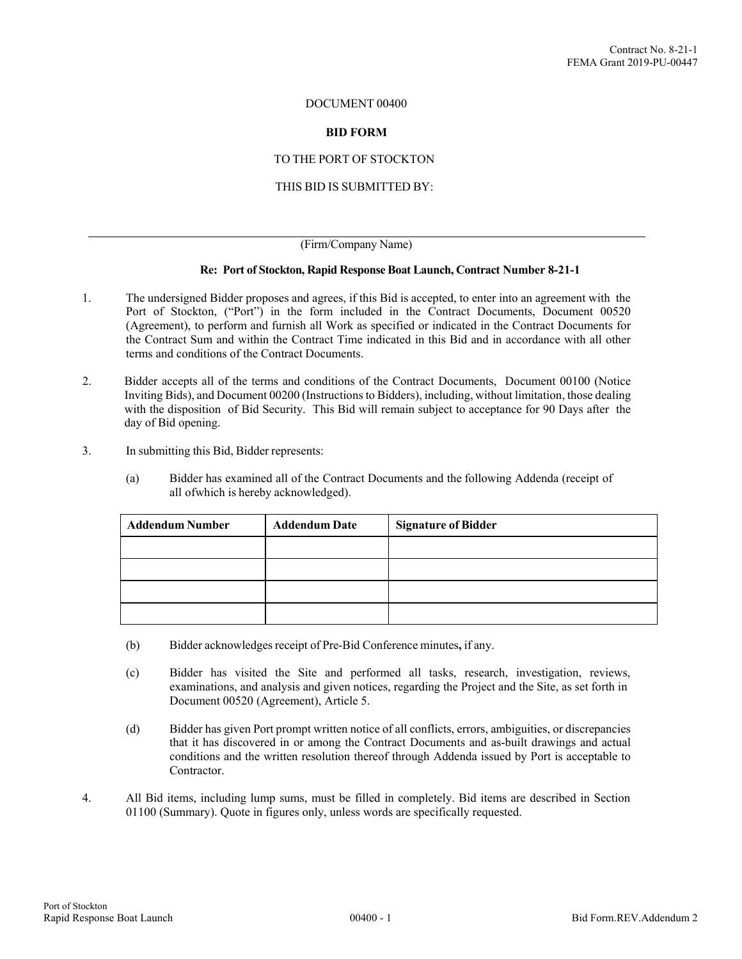### DOCUMENT 00400

### **BID FORM**

## TO THE PORT OF STOCKTON

## THIS BID IS SUBMITTED BY:

#### (Firm/Company Name)

### **Re: Port of Stockton, Rapid Response Boat Launch, Contract Number 8-21-1**

- 1. The undersigned Bidder proposes and agrees, if this Bid is accepted, to enter into an agreement with the Port of Stockton, ("Port") in the form included in the Contract Documents, Document 00520 (Agreement), to perform and furnish all Work as specified or indicated in the Contract Documents for the Contract Sum and within the Contract Time indicated in this Bid and in accordance with all other terms and conditions of the Contract Documents.
- 2. Bidder accepts all of the terms and conditions of the Contract Documents, Document 00100 (Notice Inviting Bids), and Document 00200 (Instructions to Bidders), including, without limitation, those dealing with the disposition of Bid Security. This Bid will remain subject to acceptance for 90 Days after the day of Bid opening.
- 3. In submitting this Bid, Bidder represents:
	- (a) Bidder has examined all of the Contract Documents and the following Addenda (receipt of all of which is hereby acknowledged).

| <b>Addendum Number</b> | <b>Addendum Date</b> | <b>Signature of Bidder</b> |  |  |  |
|------------------------|----------------------|----------------------------|--|--|--|
|                        |                      |                            |  |  |  |
|                        |                      |                            |  |  |  |
|                        |                      |                            |  |  |  |
|                        |                      |                            |  |  |  |

- (b) Bidder acknowledges receipt of Pre-Bid Conference minutes**,** if any.
- (c) Bidder has visited the Site and performed all tasks, research, investigation, reviews, examinations, and analysis and given notices, regarding the Project and the Site, as set forth in Document 00520 (Agreement), Article 5.
- (d) Bidder has given Port prompt written notice of all conflicts, errors, ambiguities, or discrepancies that it has discovered in or among the Contract Documents and as-built drawings and actual conditions and the written resolution thereof through Addenda issued by Port is acceptable to Contractor.
- 4. All Bid items, including lump sums, must be filled in completely. Bid items are described in Section 01100 (Summary). Quote in figures only, unless words are specifically requested.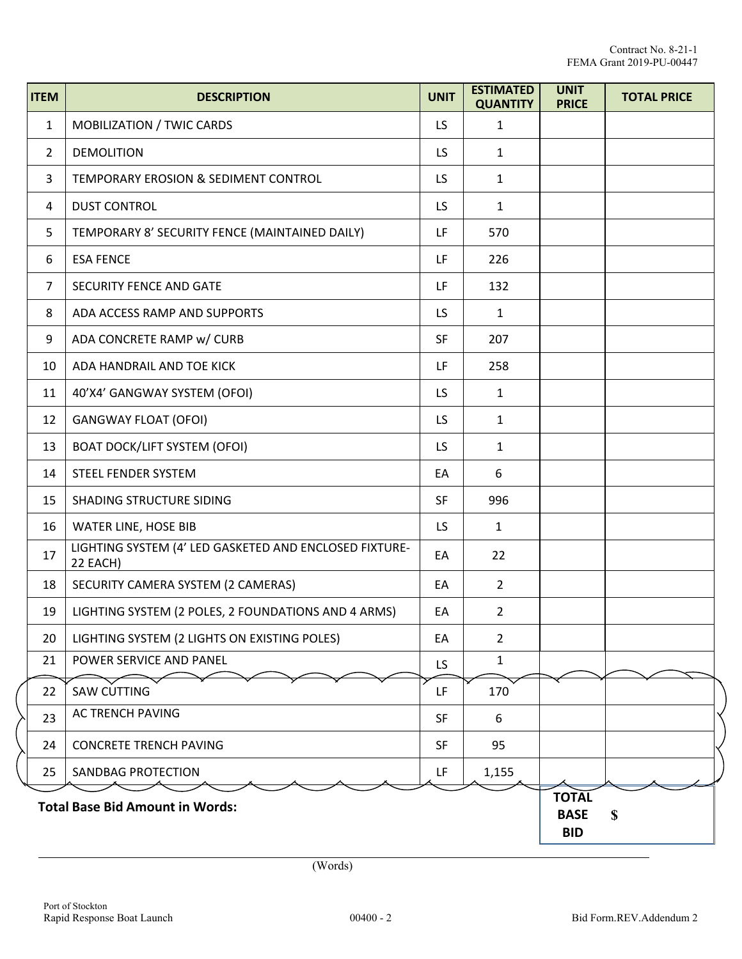| <b>ITEM</b>                            | <b>DESCRIPTION</b>                                                 | <b>UNIT</b> | <b>ESTIMATED</b><br><b>QUANTITY</b> | <b>UNIT</b><br><b>PRICE</b> | <b>TOTAL PRICE</b> |
|----------------------------------------|--------------------------------------------------------------------|-------------|-------------------------------------|-----------------------------|--------------------|
| 1                                      | MOBILIZATION / TWIC CARDS                                          | LS.         | 1                                   |                             |                    |
| $\overline{2}$                         | <b>DEMOLITION</b>                                                  |             | $\mathbf{1}$                        |                             |                    |
| 3                                      | TEMPORARY EROSION & SEDIMENT CONTROL                               |             | $\mathbf{1}$                        |                             |                    |
| 4                                      | <b>DUST CONTROL</b>                                                | LS.         | $\mathbf{1}$                        |                             |                    |
| 5                                      | TEMPORARY 8' SECURITY FENCE (MAINTAINED DAILY)                     | LF.         | 570                                 |                             |                    |
| 6                                      | <b>ESA FENCE</b>                                                   |             | 226                                 |                             |                    |
| $\overline{7}$                         | SECURITY FENCE AND GATE                                            |             | 132                                 |                             |                    |
| 8                                      | ADA ACCESS RAMP AND SUPPORTS                                       |             | $\mathbf{1}$                        |                             |                    |
| 9                                      | ADA CONCRETE RAMP w/ CURB                                          | <b>SF</b>   | 207                                 |                             |                    |
| 10                                     | ADA HANDRAIL AND TOE KICK                                          | LF          | 258                                 |                             |                    |
| 11                                     | 40'X4' GANGWAY SYSTEM (OFOI)                                       | LS.         | $\mathbf{1}$                        |                             |                    |
| 12                                     | <b>GANGWAY FLOAT (OFOI)</b>                                        | LS.         | $\mathbf{1}$                        |                             |                    |
| 13                                     | <b>BOAT DOCK/LIFT SYSTEM (OFOI)</b>                                | LS.         | 1                                   |                             |                    |
| 14                                     | STEEL FENDER SYSTEM                                                | EA          | 6                                   |                             |                    |
| 15                                     | SHADING STRUCTURE SIDING                                           | <b>SF</b>   | 996                                 |                             |                    |
| 16                                     | WATER LINE, HOSE BIB                                               | LS.         | $\mathbf{1}$                        |                             |                    |
| 17                                     | LIGHTING SYSTEM (4' LED GASKETED AND ENCLOSED FIXTURE-<br>22 EACH) | EA          | 22                                  |                             |                    |
| 18                                     | SECURITY CAMERA SYSTEM (2 CAMERAS)                                 | EA          | $\overline{2}$                      |                             |                    |
| 19                                     | LIGHTING SYSTEM (2 POLES, 2 FOUNDATIONS AND 4 ARMS)                | EA          | $\overline{2}$                      |                             |                    |
| 20                                     | LIGHTING SYSTEM (2 LIGHTS ON EXISTING POLES)                       | EA          | $\overline{2}$                      |                             |                    |
| 21                                     | POWER SERVICE AND PANEL                                            | LS.         | $\mathbf{1}$                        |                             |                    |
| 22                                     | <b>SAW CUTTING</b>                                                 | LF          | 170                                 |                             |                    |
| 23                                     | AC TRENCH PAVING                                                   | <b>SF</b>   | 6                                   |                             |                    |
| 24                                     | <b>CONCRETE TRENCH PAVING</b>                                      | <b>SF</b>   | 95                                  |                             |                    |
| 25                                     | SANDBAG PROTECTION                                                 | LF.         | 1,155                               |                             |                    |
| <b>Total Base Bid Amount in Words:</b> |                                                                    |             |                                     |                             | $\mathbf{s}$       |

l

L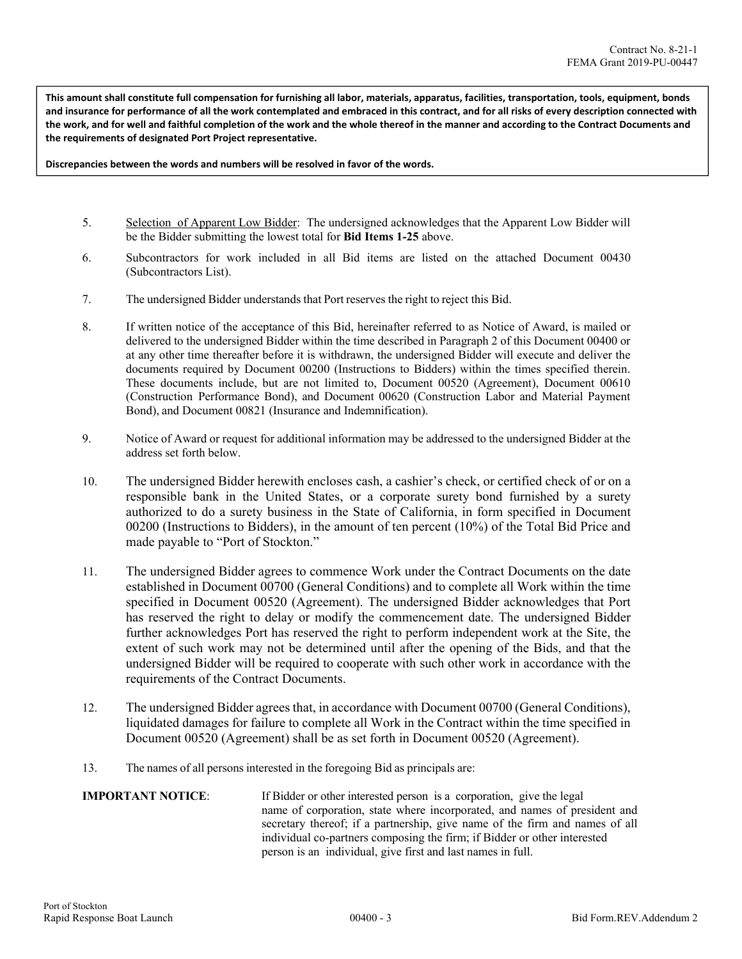**This amount shall constitute full compensation for furnishing all labor, materials, apparatus, facilities, transportation, tools, equipment, bonds and insurance for performance of all the work contemplated and embraced in this contract, and for all risks of every description connected with the work, and for well and faithful completion of the work and the whole thereof in the manner and according to the Contract Documents and the requirements of designated Port Project representative.** 

**Discrepancies between the words and numbers will be resolved in favor of the words.** 

- 5. Selection of Apparent Low Bidder: The undersigned acknowledges that the Apparent Low Bidder will be the Bidder submitting the lowest total for **Bid Items 1-25** above.
- 6. Subcontractors for work included in all Bid items are listed on the attached Document 00430 (Subcontractors List).
- 7. The undersigned Bidder understands that Port reserves the right to reject this Bid.
- 8. If written notice of the acceptance of this Bid, hereinafter referred to as Notice of Award, is mailed or delivered to the undersigned Bidder within the time described in Paragraph 2 of this Document 00400 or at any other time thereafter before it is withdrawn, the undersigned Bidder will execute and deliver the documents required by Document 00200 (Instructions to Bidders) within the times specified therein. These documents include, but are not limited to, Document 00520 (Agreement), Document 00610 (Construction Performance Bond), and Document 00620 (Construction Labor and Material Payment Bond), and Document 00821 (Insurance and Indemnification).
- 9. Notice of Award or request for additional information may be addressed to the undersigned Bidder at the address set forth below.
- 10. The undersigned Bidder herewith encloses cash, a cashier's check, or certified check of or on a responsible bank in the United States, or a corporate surety bond furnished by a surety authorized to do a surety business in the State of California, in form specified in Document 00200 (Instructions to Bidders), in the amount of ten percent (10%) of the Total Bid Price and made payable to "Port of Stockton."
- 11. The undersigned Bidder agrees to commence Work under the Contract Documents on the date established in Document 00700 (General Conditions) and to complete all Work within the time specified in Document 00520 (Agreement). The undersigned Bidder acknowledges that Port has reserved the right to delay or modify the commencement date. The undersigned Bidder further acknowledges Port has reserved the right to perform independent work at the Site, the extent of such work may not be determined until after the opening of the Bids, and that the undersigned Bidder will be required to cooperate with such other work in accordance with the requirements of the Contract Documents.
- 12. The undersigned Bidder agrees that, in accordance with Document 00700 (General Conditions), liquidated damages for failure to complete all Work in the Contract within the time specified in Document 00520 (Agreement) shall be as set forth in Document 00520 (Agreement).
- 13. The names of all persons interested in the foregoing Bid as principals are:

# **IMPORTANT NOTICE:** If Bidder or other interested person is a corporation, give the legal name of corporation, state where incorporated, and names of president and secretary thereof; if a partnership, give name of the firm and names of all individual co-partners composing the firm; if Bidder or other interested person is an individual, give first and last names in full.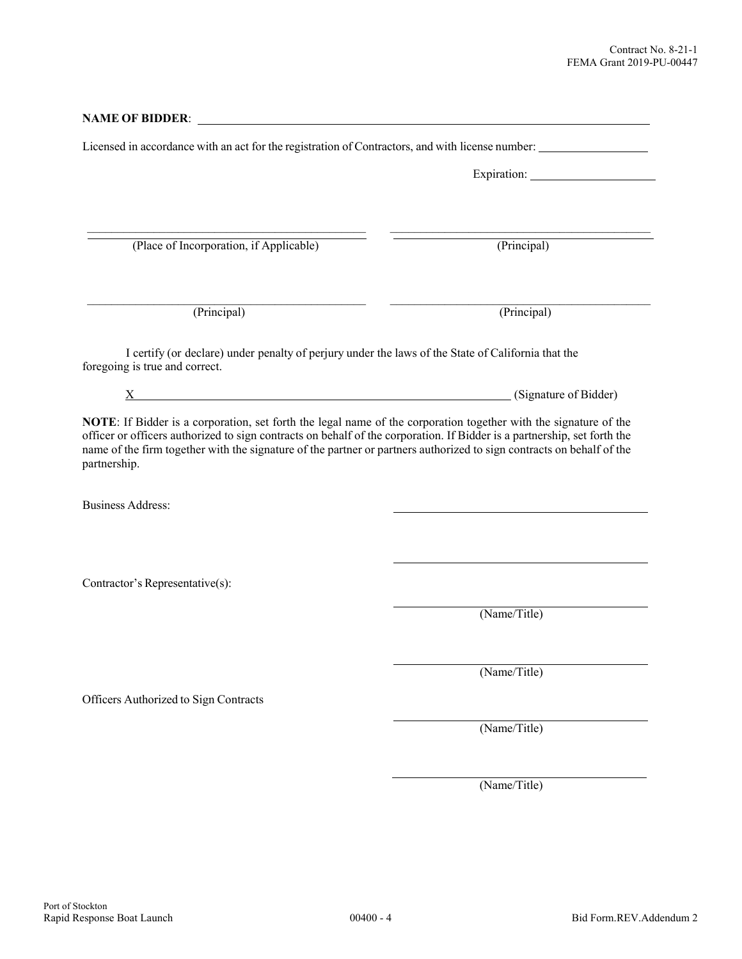| <b>NAME OF BIDDER:</b>                                                                                                                                                                                                                                                                                                                                                                                                                               |                       |  |  |
|------------------------------------------------------------------------------------------------------------------------------------------------------------------------------------------------------------------------------------------------------------------------------------------------------------------------------------------------------------------------------------------------------------------------------------------------------|-----------------------|--|--|
| Licensed in accordance with an act for the registration of Contractors, and with license number:                                                                                                                                                                                                                                                                                                                                                     |                       |  |  |
|                                                                                                                                                                                                                                                                                                                                                                                                                                                      |                       |  |  |
|                                                                                                                                                                                                                                                                                                                                                                                                                                                      |                       |  |  |
| (Place of Incorporation, if Applicable)                                                                                                                                                                                                                                                                                                                                                                                                              | (Principal)           |  |  |
| (Principal)                                                                                                                                                                                                                                                                                                                                                                                                                                          | (Principal)           |  |  |
| I certify (or declare) under penalty of perjury under the laws of the State of California that the<br>foregoing is true and correct.                                                                                                                                                                                                                                                                                                                 |                       |  |  |
| X                                                                                                                                                                                                                                                                                                                                                                                                                                                    | (Signature of Bidder) |  |  |
|                                                                                                                                                                                                                                                                                                                                                                                                                                                      |                       |  |  |
|                                                                                                                                                                                                                                                                                                                                                                                                                                                      |                       |  |  |
|                                                                                                                                                                                                                                                                                                                                                                                                                                                      |                       |  |  |
| NOTE: If Bidder is a corporation, set forth the legal name of the corporation together with the signature of the<br>officer or officers authorized to sign contracts on behalf of the corporation. If Bidder is a partnership, set forth the<br>name of the firm together with the signature of the partner or partners authorized to sign contracts on behalf of the<br>partnership.<br><b>Business Address:</b><br>Contractor's Representative(s): | (Name/Title)          |  |  |
|                                                                                                                                                                                                                                                                                                                                                                                                                                                      | (Name/Title)          |  |  |
|                                                                                                                                                                                                                                                                                                                                                                                                                                                      |                       |  |  |
| Officers Authorized to Sign Contracts                                                                                                                                                                                                                                                                                                                                                                                                                | (Name/Title)          |  |  |